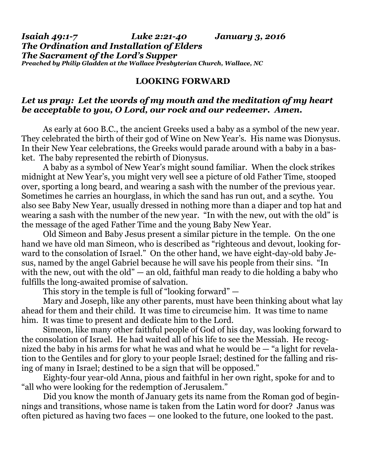## *Isaiah 49:1-7 Luke 2:21-40 January 3, 2016 The Ordination and Installation of Elders The Sacrament of the Lord's Supper Preached by Philip Gladden at the Wallace Presbyterian Church, Wallace, NC*

## **LOOKING FORWARD**

## *Let us pray: Let the words of my mouth and the meditation of my heart be acceptable to you, O Lord, our rock and our redeemer. Amen.*

As early at 600 B.C., the ancient Greeks used a baby as a symbol of the new year. They celebrated the birth of their god of Wine on New Year's. His name was Dionysus. In their New Year celebrations, the Greeks would parade around with a baby in a basket. The baby represented the rebirth of Dionysus.

 A baby as a symbol of New Year's might sound familiar. When the clock strikes midnight at New Year's, you might very well see a picture of old Father Time, stooped over, sporting a long beard, and wearing a sash with the number of the previous year. Sometimes he carries an hourglass, in which the sand has run out, and a scythe. You also see Baby New Year, usually dressed in nothing more than a diaper and top hat and wearing a sash with the number of the new year. "In with the new, out with the old" is the message of the aged Father Time and the young Baby New Year.

 Old Simeon and Baby Jesus present a similar picture in the temple. On the one hand we have old man Simeon, who is described as "righteous and devout, looking forward to the consolation of Israel." On the other hand, we have eight-day-old baby Jesus, named by the angel Gabriel because he will save his people from their sins. "In with the new, out with the old"  $-$  an old, faithful man ready to die holding a baby who fulfills the long-awaited promise of salvation.

This story in the temple is full of "looking forward" —

 Mary and Joseph, like any other parents, must have been thinking about what lay ahead for them and their child. It was time to circumcise him. It was time to name him. It was time to present and dedicate him to the Lord.

 Simeon, like many other faithful people of God of his day, was looking forward to the consolation of Israel. He had waited all of his life to see the Messiah. He recognized the baby in his arms for what he was and what he would be — "a light for revelation to the Gentiles and for glory to your people Israel; destined for the falling and rising of many in Israel; destined to be a sign that will be opposed."

 Eighty-four year-old Anna, pious and faithful in her own right, spoke for and to "all who were looking for the redemption of Jerusalem."

 Did you know the month of January gets its name from the Roman god of beginnings and transitions, whose name is taken from the Latin word for door? Janus was often pictured as having two faces — one looked to the future, one looked to the past.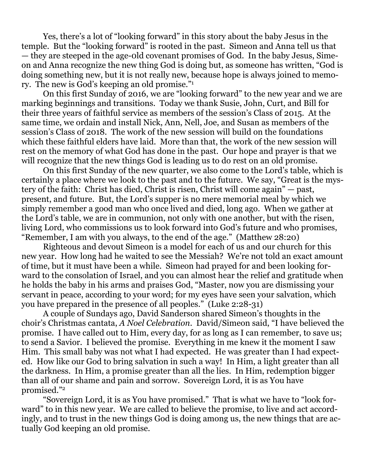Yes, there's a lot of "looking forward" in this story about the baby Jesus in the temple. But the "looking forward" is rooted in the past. Simeon and Anna tell us that — they are steeped in the age-0ld covenant promises of God. In the baby Jesus, Simeon and Anna recognize the new thing God is doing but, as someone has written, "God is doing something new, but it is not really new, because hope is always joined to memory. The new is God's keeping an old promise."1

 On this first Sunday of 2016, we are "looking forward" to the new year and we are marking beginnings and transitions. Today we thank Susie, John, Curt, and Bill for their three years of faithful service as members of the session's Class of 2015. At the same time, we ordain and install Nick, Ann, Nell, Joe, and Susan as members of the session's Class of 2018. The work of the new session will build on the foundations which these faithful elders have laid. More than that, the work of the new session will rest on the memory of what God has done in the past. Our hope and prayer is that we will recognize that the new things God is leading us to do rest on an old promise.

 On this first Sunday of the new quarter, we also come to the Lord's table, which is certainly a place where we look to the past and to the future. We say, "Great is the mystery of the faith: Christ has died, Christ is risen, Christ will come again" — past, present, and future. But, the Lord's supper is no mere memorial meal by which we simply remember a good man who once lived and died, long ago. When we gather at the Lord's table, we are in communion, not only with one another, but with the risen, living Lord, who commissions us to look forward into God's future and who promises, "Remember, I am with you always, to the end of the age." (Matthew 28:20)

 Righteous and devout Simeon is a model for each of us and our church for this new year. How long had he waited to see the Messiah? We're not told an exact amount of time, but it must have been a while. Simeon had prayed for and been looking forward to the consolation of Israel, and you can almost hear the relief and gratitude when he holds the baby in his arms and praises God, "Master, now you are dismissing your servant in peace, according to your word; for my eyes have seen your salvation, which you have prepared in the presence of all peoples." (Luke 2:28-31)

 A couple of Sundays ago, David Sanderson shared Simeon's thoughts in the choir's Christmas cantata, *A Noel Celebration*. David/Simeon said, "I have believed the promise. I have called out to Him, every day, for as long as I can remember, to save us; to send a Savior. I believed the promise. Everything in me knew it the moment I saw Him. This small baby was not what I had expected. He was greater than I had expected. How like our God to bring salvation in such a way! In Him, a light greater than all the darkness. In Him, a promise greater than all the lies. In Him, redemption bigger than all of our shame and pain and sorrow. Sovereign Lord, it is as You have promised."2

 "Sovereign Lord, it is as You have promised." That is what we have to "look forward" to in this new year. We are called to believe the promise, to live and act accordingly, and to trust in the new things God is doing among us, the new things that are actually God keeping an old promise.